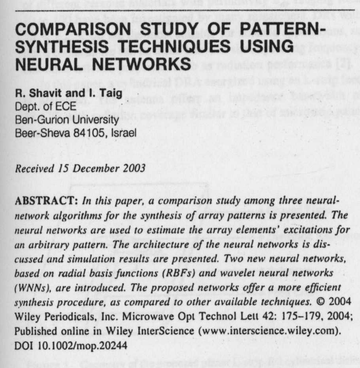## **COMPARISON STUDY OF PATTERN-SYNTHESIS TECHNIQUES USING NEURAL NETWORKS**

**R. Shavit and I. Taig** Dept. of ECE Ben-Gurion University Beer-Sheva 84105, Israel

Received 15 December 2003

ABSTRACT: In this paper, a comparison study among three neuralnetwork algorithms for the synthesis of array patterns is presented. The neural networks are used to estimate the array elements' excitations for an arbitrary pattern. The architecture of the neural networks is discussed and simulation results are presented. Two new neural networks, based on radial basis functions (RBFs) and wavelet neural networks (WNNs), are introduced. The proposed networks offer a more efficient synthesis procedure, as compared to other available techniques. © 2004 Wiley Periodicals, **Inc. Microwave** Opt Technol Lett 42: 175-179, 2004; Published online in Wiley InterScience (www.interscience.wiley.com). DOI 10.1002/mop.20244